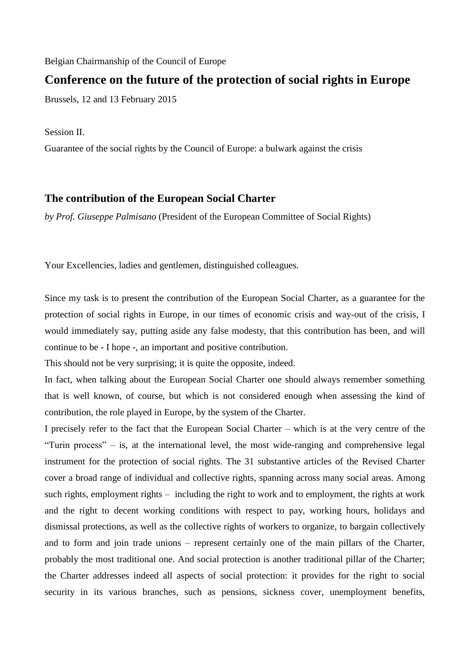Belgian Chairmanship of the Council of Europe

## **Conference on the future of the protection of social rights in Europe**

Brussels, 12 and 13 February 2015

Session II.

Guarantee of the social rights by the Council of Europe: a bulwark against the crisis

## **The contribution of the European Social Charter**

*by Prof. Giuseppe Palmisano* (President of the European Committee of Social Rights)

Your Excellencies, ladies and gentlemen, distinguished colleagues.

Since my task is to present the contribution of the European Social Charter, as a guarantee for the protection of social rights in Europe, in our times of economic crisis and way-out of the crisis, I would immediately say, putting aside any false modesty, that this contribution has been, and will continue to be - I hope -, an important and positive contribution.

This should not be very surprising; it is quite the opposite, indeed.

In fact, when talking about the European Social Charter one should always remember something that is well known, of course, but which is not considered enough when assessing the kind of contribution, the role played in Europe, by the system of the Charter.

I precisely refer to the fact that the European Social Charter – which is at the very centre of the "Turin process" – is, at the international level, the most wide-ranging and comprehensive legal instrument for the protection of social rights. The 31 substantive articles of the Revised Charter cover a broad range of individual and collective rights, spanning across many social areas. Among such rights, employment rights – including the right to work and to employment, the rights at work and the right to decent working conditions with respect to pay, working hours, holidays and dismissal protections, as well as the collective rights of workers to organize, to bargain collectively and to form and join trade unions – represent certainly one of the main pillars of the Charter, probably the most traditional one. And social protection is another traditional pillar of the Charter; the Charter addresses indeed all aspects of social protection: it provides for the right to social security in its various branches, such as pensions, sickness cover, unemployment benefits,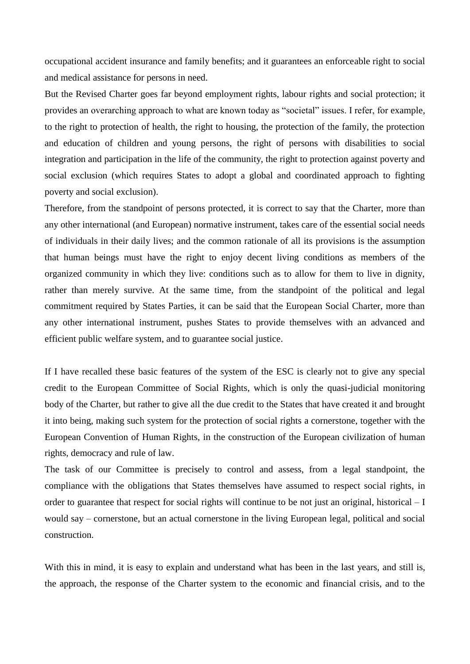occupational accident insurance and family benefits; and it guarantees an enforceable right to social and medical assistance for persons in need.

But the Revised Charter goes far beyond employment rights, labour rights and social protection; it provides an overarching approach to what are known today as "societal" issues. I refer, for example, to the right to protection of health, the right to housing, the protection of the family, the protection and education of children and young persons, the right of persons with disabilities to social integration and participation in the life of the community, the right to protection against poverty and social exclusion (which requires States to adopt a global and coordinated approach to fighting poverty and social exclusion).

Therefore, from the standpoint of persons protected, it is correct to say that the Charter, more than any other international (and European) normative instrument, takes care of the essential social needs of individuals in their daily lives; and the common rationale of all its provisions is the assumption that human beings must have the right to enjoy decent living conditions as members of the organized community in which they live: conditions such as to allow for them to live in dignity, rather than merely survive. At the same time, from the standpoint of the political and legal commitment required by States Parties, it can be said that the European Social Charter, more than any other international instrument, pushes States to provide themselves with an advanced and efficient public welfare system, and to guarantee social justice.

If I have recalled these basic features of the system of the ESC is clearly not to give any special credit to the European Committee of Social Rights, which is only the quasi-judicial monitoring body of the Charter, but rather to give all the due credit to the States that have created it and brought it into being, making such system for the protection of social rights a cornerstone, together with the European Convention of Human Rights, in the construction of the European civilization of human rights, democracy and rule of law.

The task of our Committee is precisely to control and assess, from a legal standpoint, the compliance with the obligations that States themselves have assumed to respect social rights, in order to guarantee that respect for social rights will continue to be not just an original, historical – I would say – cornerstone, but an actual cornerstone in the living European legal, political and social construction.

With this in mind, it is easy to explain and understand what has been in the last years, and still is, the approach, the response of the Charter system to the economic and financial crisis, and to the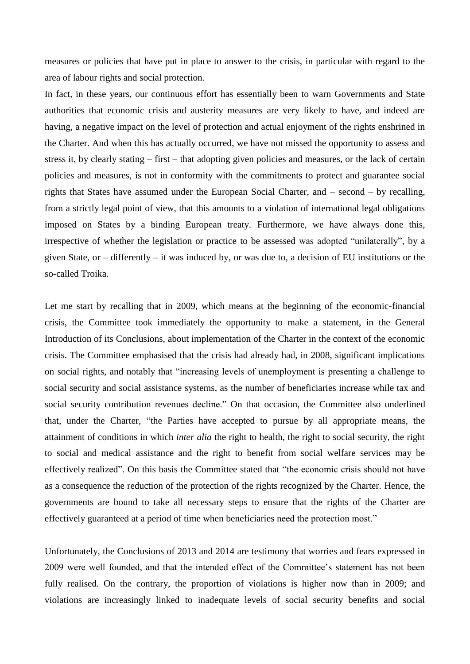measures or policies that have put in place to answer to the crisis, in particular with regard to the area of labour rights and social protection.

In fact, in these years, our continuous effort has essentially been to warn Governments and State authorities that economic crisis and austerity measures are very likely to have, and indeed are having, a negative impact on the level of protection and actual enjoyment of the rights enshrined in the Charter. And when this has actually occurred, we have not missed the opportunity to assess and stress it, by clearly stating – first – that adopting given policies and measures, or the lack of certain policies and measures, is not in conformity with the commitments to protect and guarantee social rights that States have assumed under the European Social Charter, and – second – by recalling, from a strictly legal point of view, that this amounts to a violation of international legal obligations imposed on States by a binding European treaty. Furthermore, we have always done this, irrespective of whether the legislation or practice to be assessed was adopted "unilaterally", by a given State, or – differently – it was induced by, or was due to, a decision of EU institutions or the so-called Troika.

Let me start by recalling that in 2009, which means at the beginning of the economic-financial crisis, the Committee took immediately the opportunity to make a statement, in the General Introduction of its Conclusions, about implementation of the Charter in the context of the economic crisis. The Committee emphasised that the crisis had already had, in 2008, significant implications on social rights, and notably that "increasing levels of unemployment is presenting a challenge to social security and social assistance systems, as the number of beneficiaries increase while tax and social security contribution revenues decline." On that occasion, the Committee also underlined that, under the Charter, "the Parties have accepted to pursue by all appropriate means, the attainment of conditions in which *inter alia* the right to health, the right to social security, the right to social and medical assistance and the right to benefit from social welfare services may be effectively realized". On this basis the Committee stated that "the economic crisis should not have as a consequence the reduction of the protection of the rights recognized by the Charter. Hence, the governments are bound to take all necessary steps to ensure that the rights of the Charter are effectively guaranteed at a period of time when beneficiaries need the protection most."

Unfortunately, the Conclusions of 2013 and 2014 are testimony that worries and fears expressed in 2009 were well founded, and that the intended effect of the Committee's statement has not been fully realised. On the contrary, the proportion of violations is higher now than in 2009; and violations are increasingly linked to inadequate levels of social security benefits and social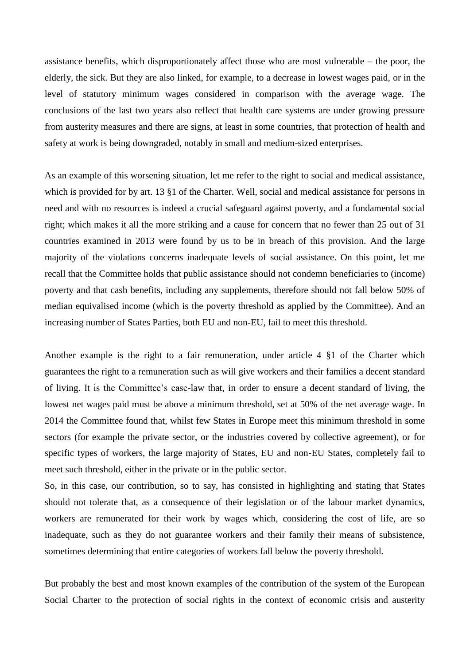assistance benefits, which disproportionately affect those who are most vulnerable – the poor, the elderly, the sick. But they are also linked, for example, to a decrease in lowest wages paid, or in the level of statutory minimum wages considered in comparison with the average wage. The conclusions of the last two years also reflect that health care systems are under growing pressure from austerity measures and there are signs, at least in some countries, that protection of health and safety at work is being downgraded, notably in small and medium-sized enterprises.

As an example of this worsening situation, let me refer to the right to social and medical assistance, which is provided for by art. 13 §1 of the Charter. Well, social and medical assistance for persons in need and with no resources is indeed a crucial safeguard against poverty, and a fundamental social right; which makes it all the more striking and a cause for concern that no fewer than 25 out of 31 countries examined in 2013 were found by us to be in breach of this provision. And the large majority of the violations concerns inadequate levels of social assistance. On this point, let me recall that the Committee holds that public assistance should not condemn beneficiaries to (income) poverty and that cash benefits, including any supplements, therefore should not fall below 50% of median equivalised income (which is the poverty threshold as applied by the Committee). And an increasing number of States Parties, both EU and non-EU, fail to meet this threshold.

Another example is the right to a fair remuneration, under article 4 §1 of the Charter which guarantees the right to a remuneration such as will give workers and their families a decent standard of living. It is the Committee's case-law that, in order to ensure a decent standard of living, the lowest net wages paid must be above a minimum threshold, set at 50% of the net average wage. In 2014 the Committee found that, whilst few States in Europe meet this minimum threshold in some sectors (for example the private sector, or the industries covered by collective agreement), or for specific types of workers, the large majority of States, EU and non-EU States, completely fail to meet such threshold, either in the private or in the public sector.

So, in this case, our contribution, so to say, has consisted in highlighting and stating that States should not tolerate that, as a consequence of their legislation or of the labour market dynamics, workers are remunerated for their work by wages which, considering the cost of life, are so inadequate, such as they do not guarantee workers and their family their means of subsistence, sometimes determining that entire categories of workers fall below the poverty threshold.

But probably the best and most known examples of the contribution of the system of the European Social Charter to the protection of social rights in the context of economic crisis and austerity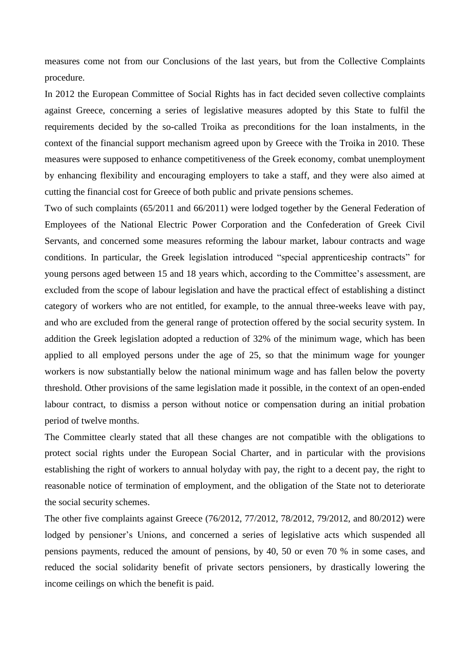measures come not from our Conclusions of the last years, but from the Collective Complaints procedure.

In 2012 the European Committee of Social Rights has in fact decided seven collective complaints against Greece, concerning a series of legislative measures adopted by this State to fulfil the requirements decided by the so-called Troika as preconditions for the loan instalments, in the context of the financial support mechanism agreed upon by Greece with the Troika in 2010. These measures were supposed to enhance competitiveness of the Greek economy, combat unemployment by enhancing flexibility and encouraging employers to take a staff, and they were also aimed at cutting the financial cost for Greece of both public and private pensions schemes.

Two of such complaints (65/2011 and 66/2011) were lodged together by the General Federation of Employees of the National Electric Power Corporation and the Confederation of Greek Civil Servants, and concerned some measures reforming the labour market, labour contracts and wage conditions. In particular, the Greek legislation introduced "special apprenticeship contracts" for young persons aged between 15 and 18 years which, according to the Committee's assessment, are excluded from the scope of labour legislation and have the practical effect of establishing a distinct category of workers who are not entitled, for example, to the annual three-weeks leave with pay, and who are excluded from the general range of protection offered by the social security system. In addition the Greek legislation adopted a reduction of 32% of the minimum wage, which has been applied to all employed persons under the age of 25, so that the minimum wage for younger workers is now substantially below the national minimum wage and has fallen below the poverty threshold. Other provisions of the same legislation made it possible, in the context of an open-ended labour contract, to dismiss a person without notice or compensation during an initial probation period of twelve months.

The Committee clearly stated that all these changes are not compatible with the obligations to protect social rights under the European Social Charter, and in particular with the provisions establishing the right of workers to annual holyday with pay, the right to a decent pay, the right to reasonable notice of termination of employment, and the obligation of the State not to deteriorate the social security schemes.

The other five complaints against Greece (76/2012, 77/2012, 78/2012, 79/2012, and 80/2012) were lodged by pensioner's Unions, and concerned a series of legislative acts which suspended all pensions payments, reduced the amount of pensions, by 40, 50 or even 70 % in some cases, and reduced the social solidarity benefit of private sectors pensioners, by drastically lowering the income ceilings on which the benefit is paid.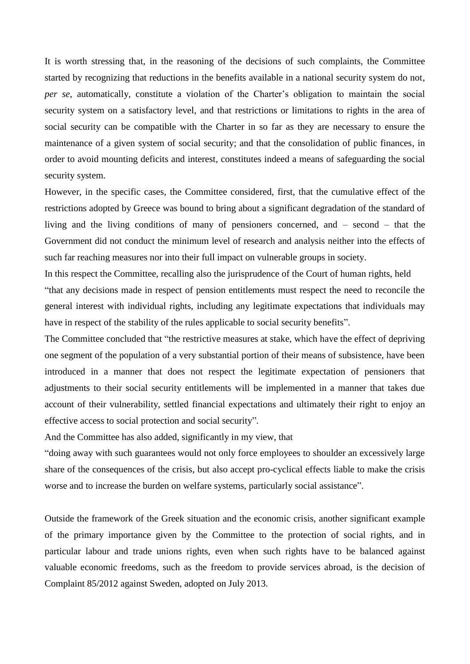It is worth stressing that, in the reasoning of the decisions of such complaints, the Committee started by recognizing that reductions in the benefits available in a national security system do not, *per se*, automatically, constitute a violation of the Charter's obligation to maintain the social security system on a satisfactory level, and that restrictions or limitations to rights in the area of social security can be compatible with the Charter in so far as they are necessary to ensure the maintenance of a given system of social security; and that the consolidation of public finances, in order to avoid mounting deficits and interest, constitutes indeed a means of safeguarding the social security system.

However, in the specific cases, the Committee considered, first, that the cumulative effect of the restrictions adopted by Greece was bound to bring about a significant degradation of the standard of living and the living conditions of many of pensioners concerned, and – second – that the Government did not conduct the minimum level of research and analysis neither into the effects of such far reaching measures nor into their full impact on vulnerable groups in society.

In this respect the Committee, recalling also the jurisprudence of the Court of human rights, held "that any decisions made in respect of pension entitlements must respect the need to reconcile the general interest with individual rights, including any legitimate expectations that individuals may have in respect of the stability of the rules applicable to social security benefits".

The Committee concluded that "the restrictive measures at stake, which have the effect of depriving one segment of the population of a very substantial portion of their means of subsistence, have been introduced in a manner that does not respect the legitimate expectation of pensioners that adjustments to their social security entitlements will be implemented in a manner that takes due account of their vulnerability, settled financial expectations and ultimately their right to enjoy an effective access to social protection and social security".

And the Committee has also added, significantly in my view, that

"doing away with such guarantees would not only force employees to shoulder an excessively large share of the consequences of the crisis, but also accept pro-cyclical effects liable to make the crisis worse and to increase the burden on welfare systems, particularly social assistance".

Outside the framework of the Greek situation and the economic crisis, another significant example of the primary importance given by the Committee to the protection of social rights, and in particular labour and trade unions rights, even when such rights have to be balanced against valuable economic freedoms, such as the freedom to provide services abroad, is the decision of Complaint 85/2012 against Sweden, adopted on July 2013.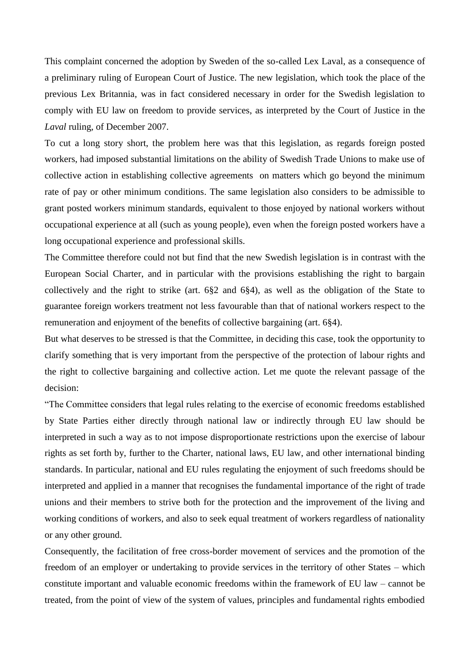This complaint concerned the adoption by Sweden of the so-called Lex Laval, as a consequence of a preliminary ruling of European Court of Justice. The new legislation, which took the place of the previous Lex Britannia, was in fact considered necessary in order for the Swedish legislation to comply with EU law on freedom to provide services, as interpreted by the Court of Justice in the *Laval* ruling, of December 2007.

To cut a long story short, the problem here was that this legislation, as regards foreign posted workers, had imposed substantial limitations on the ability of Swedish Trade Unions to make use of collective action in establishing collective agreements on matters which go beyond the minimum rate of pay or other minimum conditions. The same legislation also considers to be admissible to grant posted workers minimum standards, equivalent to those enjoyed by national workers without occupational experience at all (such as young people), even when the foreign posted workers have a long occupational experience and professional skills.

The Committee therefore could not but find that the new Swedish legislation is in contrast with the European Social Charter, and in particular with the provisions establishing the right to bargain collectively and the right to strike (art. 6§2 and 6§4), as well as the obligation of the State to guarantee foreign workers treatment not less favourable than that of national workers respect to the remuneration and enjoyment of the benefits of collective bargaining (art. 6§4).

But what deserves to be stressed is that the Committee, in deciding this case, took the opportunity to clarify something that is very important from the perspective of the protection of labour rights and the right to collective bargaining and collective action. Let me quote the relevant passage of the decision:

"The Committee considers that legal rules relating to the exercise of economic freedoms established by State Parties either directly through national law or indirectly through EU law should be interpreted in such a way as to not impose disproportionate restrictions upon the exercise of labour rights as set forth by, further to the Charter, national laws, EU law, and other international binding standards. In particular, national and EU rules regulating the enjoyment of such freedoms should be interpreted and applied in a manner that recognises the fundamental importance of the right of trade unions and their members to strive both for the protection and the improvement of the living and working conditions of workers, and also to seek equal treatment of workers regardless of nationality or any other ground.

Consequently, the facilitation of free cross-border movement of services and the promotion of the freedom of an employer or undertaking to provide services in the territory of other States – which constitute important and valuable economic freedoms within the framework of EU law – cannot be treated, from the point of view of the system of values, principles and fundamental rights embodied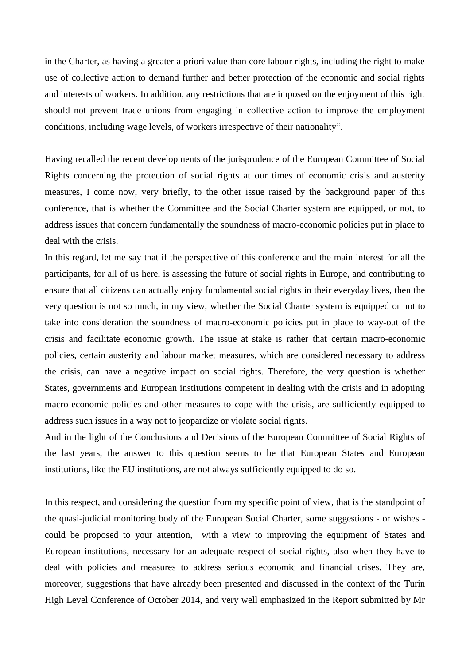in the Charter, as having a greater a priori value than core labour rights, including the right to make use of collective action to demand further and better protection of the economic and social rights and interests of workers. In addition, any restrictions that are imposed on the enjoyment of this right should not prevent trade unions from engaging in collective action to improve the employment conditions, including wage levels, of workers irrespective of their nationality".

Having recalled the recent developments of the jurisprudence of the European Committee of Social Rights concerning the protection of social rights at our times of economic crisis and austerity measures, I come now, very briefly, to the other issue raised by the background paper of this conference, that is whether the Committee and the Social Charter system are equipped, or not, to address issues that concern fundamentally the soundness of macro-economic policies put in place to deal with the crisis.

In this regard, let me say that if the perspective of this conference and the main interest for all the participants, for all of us here, is assessing the future of social rights in Europe, and contributing to ensure that all citizens can actually enjoy fundamental social rights in their everyday lives, then the very question is not so much, in my view, whether the Social Charter system is equipped or not to take into consideration the soundness of macro-economic policies put in place to way-out of the crisis and facilitate economic growth. The issue at stake is rather that certain macro-economic policies, certain austerity and labour market measures, which are considered necessary to address the crisis, can have a negative impact on social rights. Therefore, the very question is whether States, governments and European institutions competent in dealing with the crisis and in adopting macro-economic policies and other measures to cope with the crisis, are sufficiently equipped to address such issues in a way not to jeopardize or violate social rights.

And in the light of the Conclusions and Decisions of the European Committee of Social Rights of the last years, the answer to this question seems to be that European States and European institutions, like the EU institutions, are not always sufficiently equipped to do so.

In this respect, and considering the question from my specific point of view, that is the standpoint of the quasi-judicial monitoring body of the European Social Charter, some suggestions - or wishes could be proposed to your attention, with a view to improving the equipment of States and European institutions, necessary for an adequate respect of social rights, also when they have to deal with policies and measures to address serious economic and financial crises. They are, moreover, suggestions that have already been presented and discussed in the context of the Turin High Level Conference of October 2014, and very well emphasized in the Report submitted by Mr